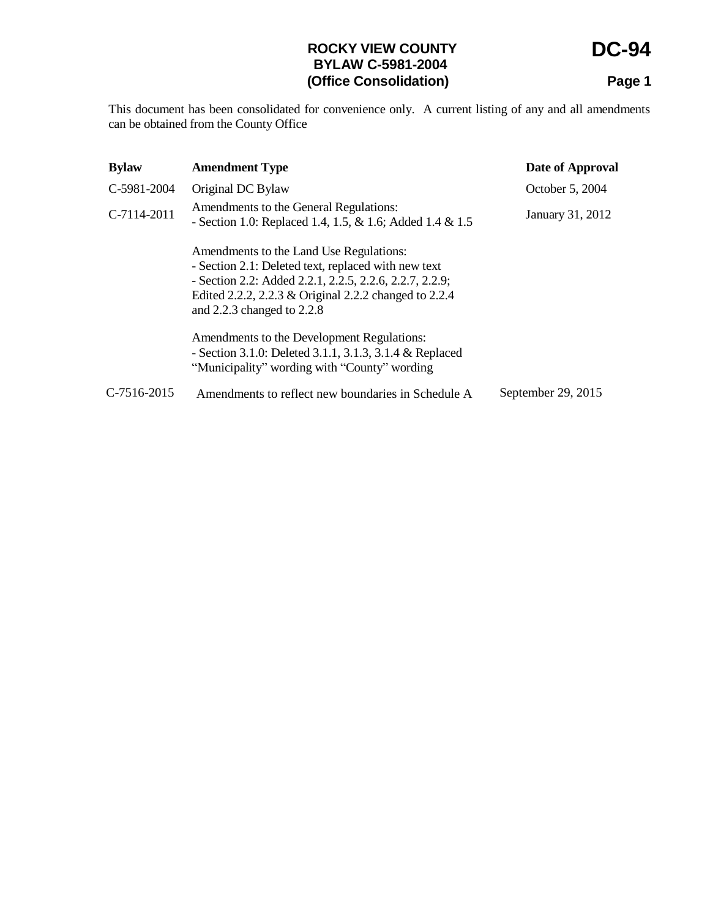# **ROCKY VIEW COUNTY BYLAW C-5981-2004 (Office Consolidation)**

**DC-94**

**Page 1**

This document has been consolidated for convenience only. A current listing of any and all amendments can be obtained from the County Office

| <b>Bylaw</b>  | <b>Amendment Type</b>                                                                                                                                                                                                                            | Date of Approval   |
|---------------|--------------------------------------------------------------------------------------------------------------------------------------------------------------------------------------------------------------------------------------------------|--------------------|
| C-5981-2004   | Original DC Bylaw                                                                                                                                                                                                                                | October 5, 2004    |
| C-7114-2011   | Amendments to the General Regulations:<br>- Section 1.0: Replaced 1.4, 1.5, & 1.6; Added 1.4 & 1.5                                                                                                                                               | January 31, 2012   |
|               | Amendments to the Land Use Regulations:<br>- Section 2.1: Deleted text, replaced with new text<br>- Section 2.2: Added 2.2.1, 2.2.5, 2.2.6, 2.2.7, 2.2.9;<br>Edited 2.2.2, 2.2.3 & Original 2.2.2 changed to 2.2.4<br>and 2.2.3 changed to 2.2.8 |                    |
|               | Amendments to the Development Regulations:<br>- Section 3.1.0: Deleted 3.1.1, 3.1.3, 3.1.4 & Replaced<br>"Municipality" wording with "County" wording                                                                                            |                    |
| $C-7516-2015$ | Amendments to reflect new boundaries in Schedule A                                                                                                                                                                                               | September 29, 2015 |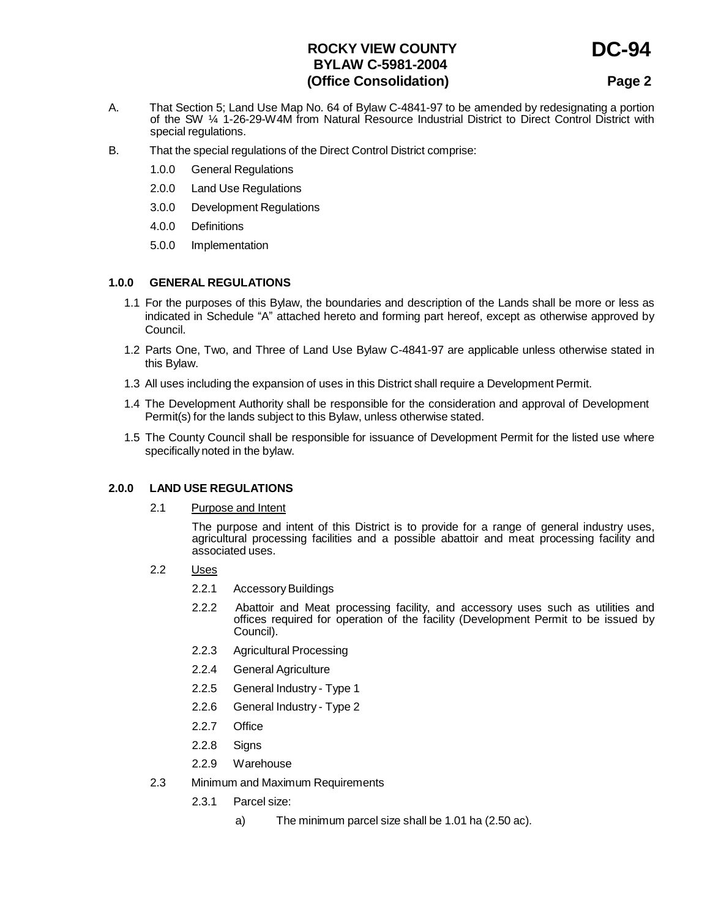## **ROCKY VIEW COUNTY BYLAW C-5981-2004 (Office Consolidation)**

**Page 2**

**DC-94**

- A. That Section 5; Land Use Map No. 64 of Bylaw C-4841-97 to be amended by redesignating a portion of the SW ¼ 1-26-29-W4M from Natural Resource Industrial District to Direct Control District with special regulations.
- B. That the special regulations of the Direct Control District comprise:
	- 1.0.0 General Regulations
	- 2.0.0 Land Use Regulations
	- 3.0.0 Development Regulations
	- 4.0.0 Definitions
	- 5.0.0 Implementation

### **1.0.0 GENERAL REGULATIONS**

- 1.1 For the purposes of this Bylaw, the boundaries and description of the Lands shall be more or less as indicated in Schedule "A" attached hereto and forming part hereof, except as otherwise approved by Council.
- 1.2 Parts One, Two, and Three of Land Use Bylaw C-4841-97 are applicable unless otherwise stated in this Bylaw.
- 1.3 All uses including the expansion of uses in this District shall require a Development Permit.
- 1.4 The Development Authority shall be responsible for the consideration and approval of Development Permit(s) for the lands subject to this Bylaw, unless otherwise stated.
- 1.5 The County Council shall be responsible for issuance of Development Permit for the listed use where specifically noted in the bylaw.

#### **2.0.0 LAND USE REGULATIONS**

2.1 Purpose and Intent

The purpose and intent of this District is to provide for a range of general industry uses, agricultural processing facilities and a possible abattoir and meat processing facility and associated uses.

- 2.2 Uses
	- 2.2.1 Accessory Buildings
	- 2.2.2 Abattoir and Meat processing facility, and accessory uses such as utilities and offices required for operation of the facility (Development Permit to be issued by Council).
	- 2.2.3 Agricultural Processing
	- 2.2.4 General Agriculture
	- 2.2.5 General Industry Type 1
	- 2.2.6 General Industry Type 2
	- 2.2.7 Office
	- 2.2.8 Signs
	- 2.2.9 Warehouse
- 2.3 Minimum and Maximum Requirements
	- 2.3.1 Parcel size:
		- a) The minimum parcel size shall be 1.01 ha (2.50 ac).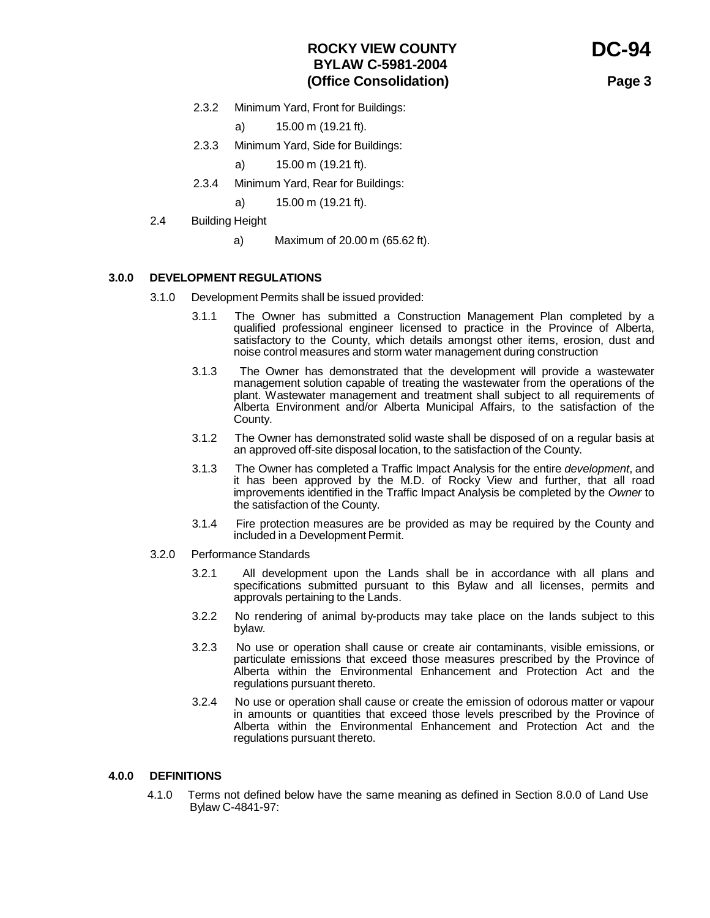**DC-94**

**Page 3**

- 2.3.2 Minimum Yard, Front for Buildings:
	- a) 15.00 m (19.21 ft).
- 2.3.3 Minimum Yard, Side for Buildings:
	- a) 15.00 m (19.21 ft).
- 2.3.4 Minimum Yard, Rear for Buildings:
	- a) 15.00 m (19.21 ft).
- 2.4 Building Height
	- a) Maximum of 20.00 m (65.62 ft).

#### **3.0.0 DEVELOPMENT REGULATIONS**

- 3.1.0 Development Permits shall be issued provided:
	- 3.1.1 The Owner has submitted a Construction Management Plan completed by a qualified professional engineer licensed to practice in the Province of Alberta, satisfactory to the County, which details amongst other items, erosion, dust and noise control measures and storm water management during construction
	- 3.1.3 The Owner has demonstrated that the development will provide a wastewater management solution capable of treating the wastewater from the operations of the plant. Wastewater management and treatment shall subject to all requirements of Alberta Environment and/or Alberta Municipal Affairs, to the satisfaction of the County.
	- 3.1.2 The Owner has demonstrated solid waste shall be disposed of on a regular basis at an approved off-site disposal location, to the satisfaction of the County.
	- 3.1.3 The Owner has completed a Traffic Impact Analysis for the entire *development*, and it has been approved by the M.D. of Rocky View and further, that all road improvements identified in the Traffic Impact Analysis be completed by the *Owner* to the satisfaction of the County.
	- 3.1.4 Fire protection measures are be provided as may be required by the County and included in a Development Permit.
- 3.2.0 Performance Standards
	- 3.2.1 All development upon the Lands shall be in accordance with all plans and specifications submitted pursuant to this Bylaw and all licenses, permits and approvals pertaining to the Lands.
	- 3.2.2 No rendering of animal by-products may take place on the lands subject to this bylaw.
	- 3.2.3 No use or operation shall cause or create air contaminants, visible emissions, or particulate emissions that exceed those measures prescribed by the Province of Alberta within the Environmental Enhancement and Protection Act and the regulations pursuant thereto.
	- 3.2.4 No use or operation shall cause or create the emission of odorous matter or vapour in amounts or quantities that exceed those levels prescribed by the Province of Alberta within the Environmental Enhancement and Protection Act and the regulations pursuant thereto.

#### **4.0.0 DEFINITIONS**

4.1.0 Terms not defined below have the same meaning as defined in Section 8.0.0 of Land Use Bylaw C-4841-97: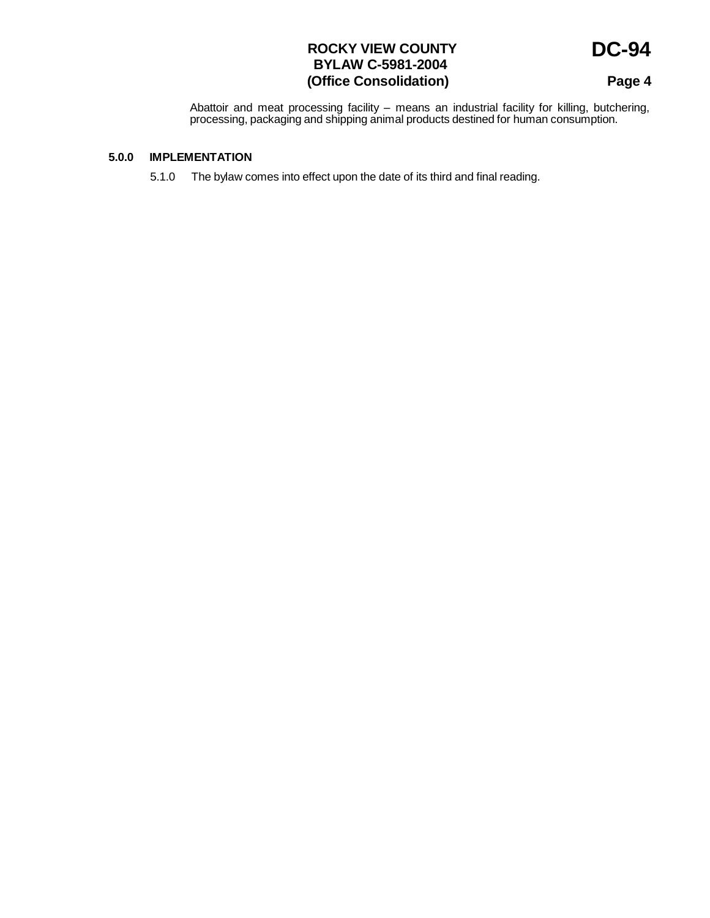## **ROCKY VIEW COUNTY BYLAW C-5981-2004 (Office Consolidation)**

**Page 4**

**DC-94**

Abattoir and meat processing facility – means an industrial facility for killing, butchering, processing, packaging and shipping animal products destined for human consumption.

### **5.0.0 IMPLEMENTATION**

5.1.0 The bylaw comes into effect upon the date of its third and final reading.